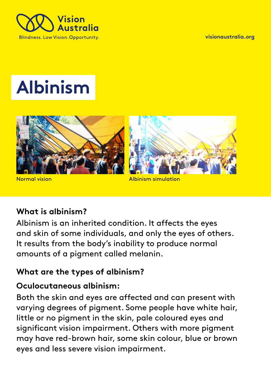

**visionaustralia.org** 

# **Albinism**



**Normal vision Albinism simulation** 

## **What is albinism?**

Albinism is an inherited condition. It affects the eyes and skin of some individuals, and only the eyes of others. It results from the body's inability to produce normal amounts of a pigment called melanin.

#### **What are the types of albinism?**

#### **Oculocutaneous albinism:**

Both the skin and eyes are affected and can present with varying degrees of pigment. Some people have white hair, little or no pigment in the skin, pale coloured eyes and significant vision impairment. Others with more pigment may have red-brown hair, some skin colour, blue or brown eyes and less severe vision impairment.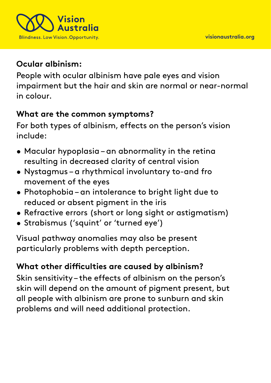

### **Ocular albinism:**

People with ocular albinism have pale eyes and vision impairment but the hair and skin are normal or near-normal in colour.

#### **What are the common symptoms?**

For both types of albinism, effects on the person's vision include:

- Macular hypoplasia an abnormality in the retina resulting in decreased clarity of central vision
- Nystagmus a rhythmical involuntary to-and fro movement of the eyes
- Photophobia an intolerance to bright light due to reduced or absent pigment in the iris
- Refractive errors (short or long sight or astigmatism)
- Strabismus ('squint' or 'turned eye')

Visual pathway anomalies may also be present particularly problems with depth perception.

# **What other difficulties are caused by albinism?**

Skin sensitivity – the effects of albinism on the person's skin will depend on the amount of pigment present, but all people with albinism are prone to sunburn and skin problems and will need additional protection.